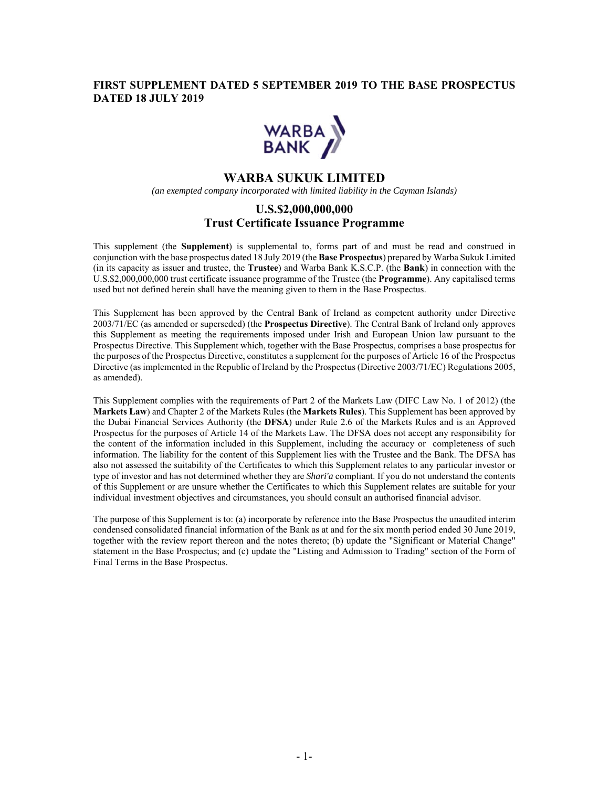### **FIRST SUPPLEMENT DATED 5 SEPTEMBER 2019 TO THE BASE PROSPECTUS DATED 18 JULY 2019**



# **WARBA SUKUK LIMITED**

*(an exempted company incorporated with limited liability in the Cayman Islands)*

## **U.S.\$2,000,000,000 Trust Certificate Issuance Programme**

This supplement (the **Supplement**) is supplemental to, forms part of and must be read and construed in conjunction with the base prospectus dated 18 July 2019 (the **Base Prospectus**) prepared by Warba Sukuk Limited (in its capacity as issuer and trustee, the **Trustee**) and Warba Bank K.S.C.P. (the **Bank**) in connection with the U.S.\$2,000,000,000 trust certificate issuance programme of the Trustee (the **Programme**). Any capitalised terms used but not defined herein shall have the meaning given to them in the Base Prospectus.

This Supplement has been approved by the Central Bank of Ireland as competent authority under Directive 2003/71/EC (as amended or superseded) (the **Prospectus Directive**). The Central Bank of Ireland only approves this Supplement as meeting the requirements imposed under Irish and European Union law pursuant to the Prospectus Directive. This Supplement which, together with the Base Prospectus, comprises a base prospectus for the purposes of the Prospectus Directive, constitutes a supplement for the purposes of Article 16 of the Prospectus Directive (as implemented in the Republic of Ireland by the Prospectus (Directive 2003/71/EC) Regulations 2005, as amended).

This Supplement complies with the requirements of Part 2 of the Markets Law (DIFC Law No. 1 of 2012) (the **Markets Law**) and Chapter 2 of the Markets Rules (the **Markets Rules**). This Supplement has been approved by the Dubai Financial Services Authority (the **DFSA**) under Rule 2.6 of the Markets Rules and is an Approved Prospectus for the purposes of Article 14 of the Markets Law. The DFSA does not accept any responsibility for the content of the information included in this Supplement, including the accuracy or completeness of such information. The liability for the content of this Supplement lies with the Trustee and the Bank. The DFSA has also not assessed the suitability of the Certificates to which this Supplement relates to any particular investor or type of investor and has not determined whether they are *Shari'a* compliant. If you do not understand the contents of this Supplement or are unsure whether the Certificates to which this Supplement relates are suitable for your individual investment objectives and circumstances, you should consult an authorised financial advisor.

The purpose of this Supplement is to: (a) incorporate by reference into the Base Prospectus the unaudited interim condensed consolidated financial information of the Bank as at and for the six month period ended 30 June 2019, together with the review report thereon and the notes thereto; (b) update the "Significant or Material Change" statement in the Base Prospectus; and (c) update the "Listing and Admission to Trading" section of the Form of Final Terms in the Base Prospectus.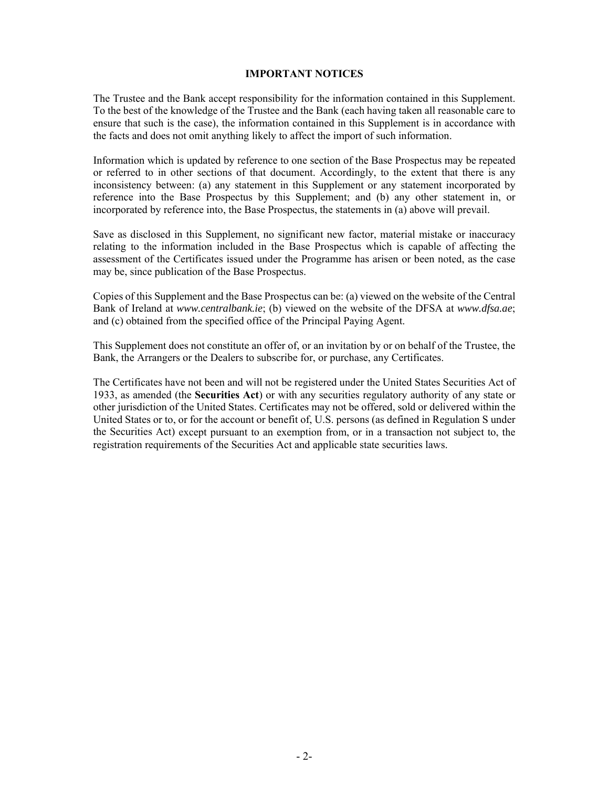#### **IMPORTANT NOTICES**

The Trustee and the Bank accept responsibility for the information contained in this Supplement. To the best of the knowledge of the Trustee and the Bank (each having taken all reasonable care to ensure that such is the case), the information contained in this Supplement is in accordance with the facts and does not omit anything likely to affect the import of such information.

Information which is updated by reference to one section of the Base Prospectus may be repeated or referred to in other sections of that document. Accordingly, to the extent that there is any inconsistency between: (a) any statement in this Supplement or any statement incorporated by reference into the Base Prospectus by this Supplement; and (b) any other statement in, or incorporated by reference into, the Base Prospectus, the statements in (a) above will prevail.

Save as disclosed in this Supplement, no significant new factor, material mistake or inaccuracy relating to the information included in the Base Prospectus which is capable of affecting the assessment of the Certificates issued under the Programme has arisen or been noted, as the case may be, since publication of the Base Prospectus.

Copies of this Supplement and the Base Prospectus can be: (a) viewed on the website of the Central Bank of Ireland at *www.centralbank.ie*; (b) viewed on the website of the DFSA at *www.dfsa.ae*; and (c) obtained from the specified office of the Principal Paying Agent.

This Supplement does not constitute an offer of, or an invitation by or on behalf of the Trustee, the Bank, the Arrangers or the Dealers to subscribe for, or purchase, any Certificates.

The Certificates have not been and will not be registered under the United States Securities Act of 1933, as amended (the **Securities Act**) or with any securities regulatory authority of any state or other jurisdiction of the United States. Certificates may not be offered, sold or delivered within the United States or to, or for the account or benefit of, U.S. persons (as defined in Regulation S under the Securities Act) except pursuant to an exemption from, or in a transaction not subject to, the registration requirements of the Securities Act and applicable state securities laws.